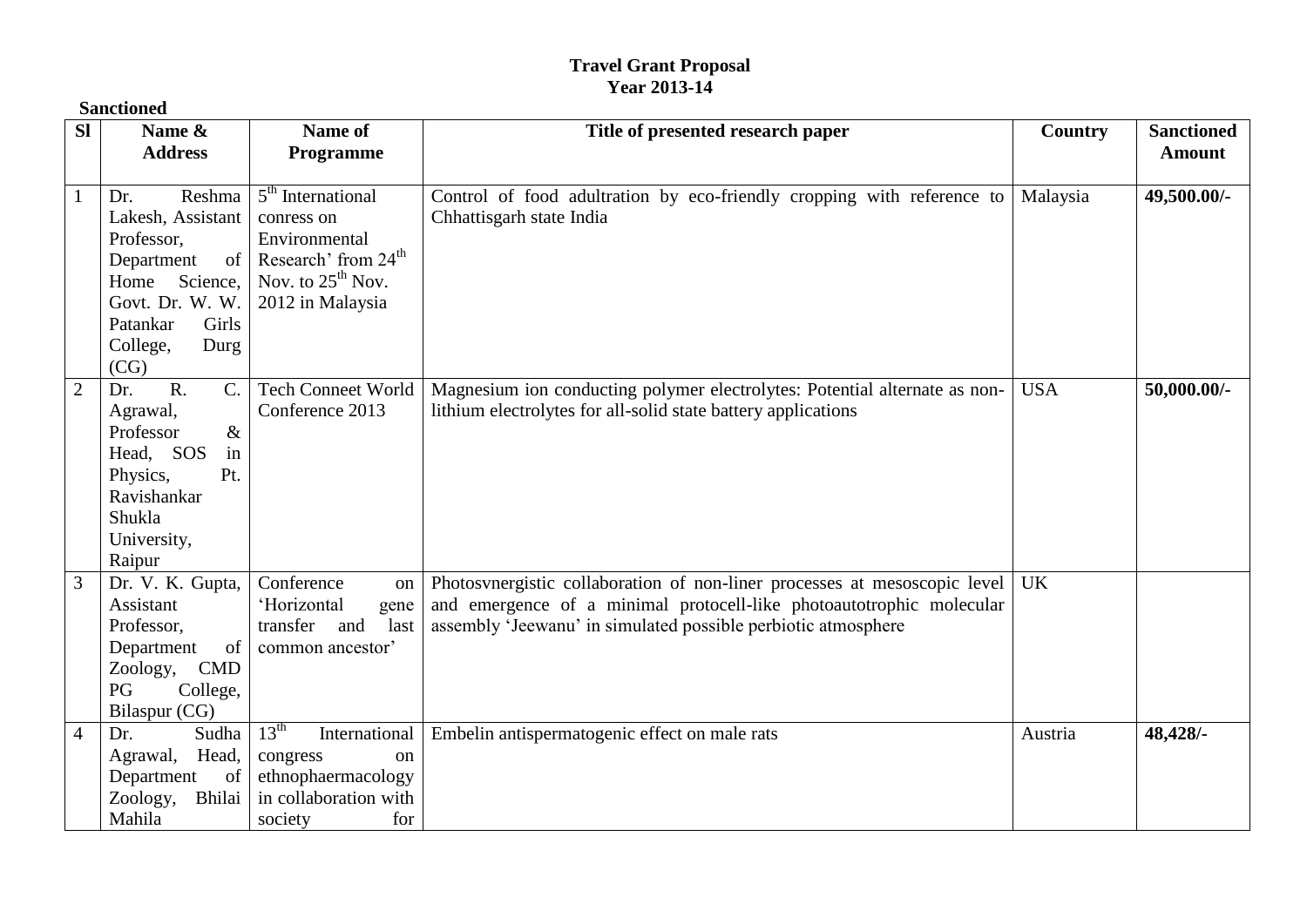## **Travel Grant Proposal Year 2013-14**

|                | <b>Sanctioned</b>                                                                                                                                                   |                                                                                                                                     |                                                                                                                                                                                                                    |            |                                    |  |  |
|----------------|---------------------------------------------------------------------------------------------------------------------------------------------------------------------|-------------------------------------------------------------------------------------------------------------------------------------|--------------------------------------------------------------------------------------------------------------------------------------------------------------------------------------------------------------------|------------|------------------------------------|--|--|
| <b>SI</b>      | Name &<br><b>Address</b>                                                                                                                                            | Name of<br>Programme                                                                                                                | Title of presented research paper                                                                                                                                                                                  | Country    | <b>Sanctioned</b><br><b>Amount</b> |  |  |
|                | Reshma<br>Dr.<br>Lakesh, Assistant<br>Professor,<br>$\sigma$ f<br>Department<br>Home Science,<br>Govt. Dr. W. W.<br>Girls<br>Patankar<br>College,<br>Durg<br>(CG)   | $5th$ International<br>conress on<br>Environmental<br>Research' from 24 <sup>th</sup><br>Nov. to $25^{th}$ Nov.<br>2012 in Malaysia | Control of food adultration by eco-friendly cropping with reference to<br>Chhattisgarh state India                                                                                                                 | Malaysia   | 49,500.00/-                        |  |  |
| $\overline{2}$ | $\overline{R}$ .<br>$\mathcal{C}$ .<br>Dr.<br>Agrawal,<br>$\&$<br>Professor<br>Head, SOS<br>in<br>Pt.<br>Physics,<br>Ravishankar<br>Shukla<br>University,<br>Raipur | <b>Tech Conneet World</b><br>Conference 2013                                                                                        | Magnesium ion conducting polymer electrolytes: Potential alternate as non-<br>lithium electrolytes for all-solid state battery applications                                                                        | <b>USA</b> | 50,000.00/-                        |  |  |
| 3              | Dr. V. K. Gupta,<br>Assistant<br>Professor,<br>of<br>Department<br>Zoology, CMD<br>PG<br>College,<br>Bilaspur (CG)                                                  | Conference<br>on  <br>'Horizontal<br>gene<br>transfer and<br>last<br>common ancestor'                                               | Photosynergistic collaboration of non-liner processes at mesoscopic level<br>and emergence of a minimal protocell-like photoautotrophic molecular<br>assembly 'Jeewanu' in simulated possible perbiotic atmosphere | <b>UK</b>  |                                    |  |  |
| $\overline{4}$ | Dr.<br>Sudha<br>Head,<br>Agrawal,<br>Department<br>of<br>Zoology,<br>Bhilai<br>Mahila                                                                               | $13^{\text{th}}$<br>International<br>congress<br><sub>on</sub><br>ethnophaermacology<br>in collaboration with<br>for<br>society     | Embelin antispermatogenic effect on male rats                                                                                                                                                                      | Austria    | 48,428/-                           |  |  |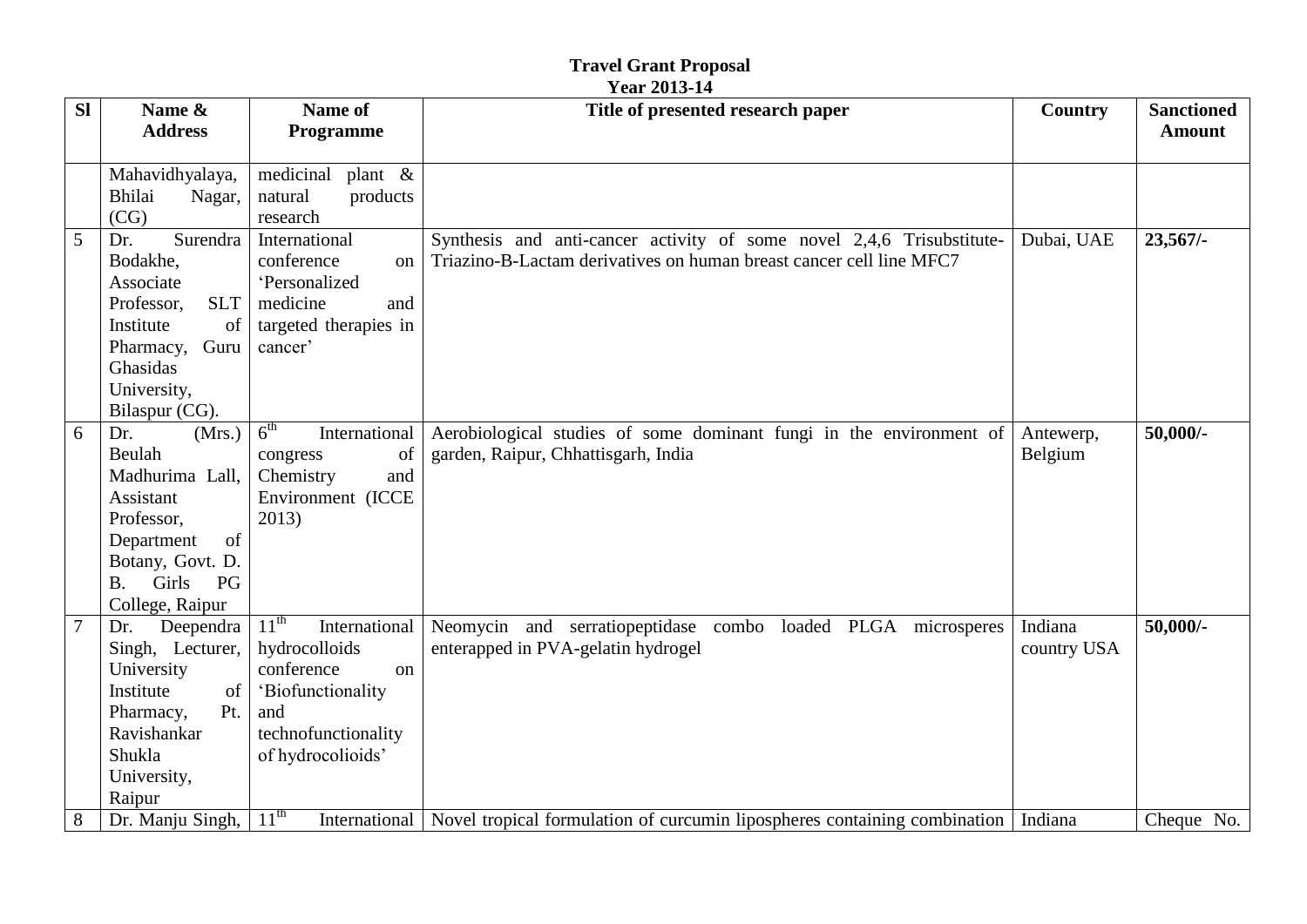## **Travel Grant Proposal<br>Year 2013-14**

| <b>SI</b>       | Name &                   | Name of                                  | Title of presented research paper                                                   | Country     | <b>Sanctioned</b> |
|-----------------|--------------------------|------------------------------------------|-------------------------------------------------------------------------------------|-------------|-------------------|
|                 | <b>Address</b>           | Programme                                |                                                                                     |             | <b>Amount</b>     |
|                 |                          |                                          |                                                                                     |             |                   |
|                 | Mahavidhyalaya,          | medicinal<br>plant &                     |                                                                                     |             |                   |
|                 | Bhilai<br>Nagar,         | products<br>natural                      |                                                                                     |             |                   |
|                 | (CG)                     | research                                 |                                                                                     |             |                   |
| 5               | Surendra<br>Dr.          | International                            | Synthesis and anti-cancer activity of some novel 2,4,6 Trisubstitute-               | Dubai, UAE  | $23,567/$ -       |
|                 | Bodakhe,                 | conference<br>on                         | Triazino-B-Lactam derivatives on human breast cancer cell line MFC7                 |             |                   |
|                 | Associate                | 'Personalized                            |                                                                                     |             |                   |
|                 | <b>SLT</b><br>Professor, | medicine<br>and                          |                                                                                     |             |                   |
|                 | Institute<br>of          | targeted therapies in                    |                                                                                     |             |                   |
|                 | Guru<br>Pharmacy,        | cancer'                                  |                                                                                     |             |                   |
|                 | Ghasidas                 |                                          |                                                                                     |             |                   |
|                 | University,              |                                          |                                                                                     |             |                   |
|                 | Bilaspur (CG).           |                                          |                                                                                     |             |                   |
| 6               | (Mrs.)<br>Dr.            | 6 <sup>th</sup><br>International         | Aerobiological studies of some dominant fungi in the environment of                 | Antewerp,   | $50,000/$ -       |
|                 | Beulah                   | congress<br>of                           | garden, Raipur, Chhattisgarh, India                                                 | Belgium     |                   |
|                 | Madhurima Lall,          | Chemistry<br>and                         |                                                                                     |             |                   |
|                 | Assistant                | Environment (ICCE                        |                                                                                     |             |                   |
|                 | Professor,               | 2013)                                    |                                                                                     |             |                   |
|                 | of<br>Department         |                                          |                                                                                     |             |                   |
|                 | Botany, Govt. D.         |                                          |                                                                                     |             |                   |
|                 | Girls<br>PG<br><b>B.</b> |                                          |                                                                                     |             |                   |
|                 | College, Raipur          |                                          |                                                                                     |             |                   |
| $7\phantom{.0}$ | Deependra<br>Dr.         | $11^{\text{th}}$<br>International        | Neomycin and serratiopeptidase combo loaded PLGA microsperes                        | Indiana     | $50,000/$ -       |
|                 | Singh, Lecturer,         | hydrocolloids                            | enterapped in PVA-gelatin hydrogel                                                  | country USA |                   |
|                 | University               | conference<br>on                         |                                                                                     |             |                   |
|                 | Institute<br>of          | 'Biofunctionality                        |                                                                                     |             |                   |
|                 | Pharmacy,<br>Pt.         | and                                      |                                                                                     |             |                   |
|                 | Ravishankar              | technofunctionality                      |                                                                                     |             |                   |
|                 | Shukla                   | of hydrocolioids'                        |                                                                                     |             |                   |
|                 | University,              |                                          |                                                                                     |             |                   |
|                 | Raipur                   |                                          |                                                                                     |             |                   |
| 8               | Dr. Manju Singh,         | 11 <sup>th</sup><br><b>International</b> | Novel tropical formulation of curcumin lipospheres containing combination   Indiana |             | Cheque No.        |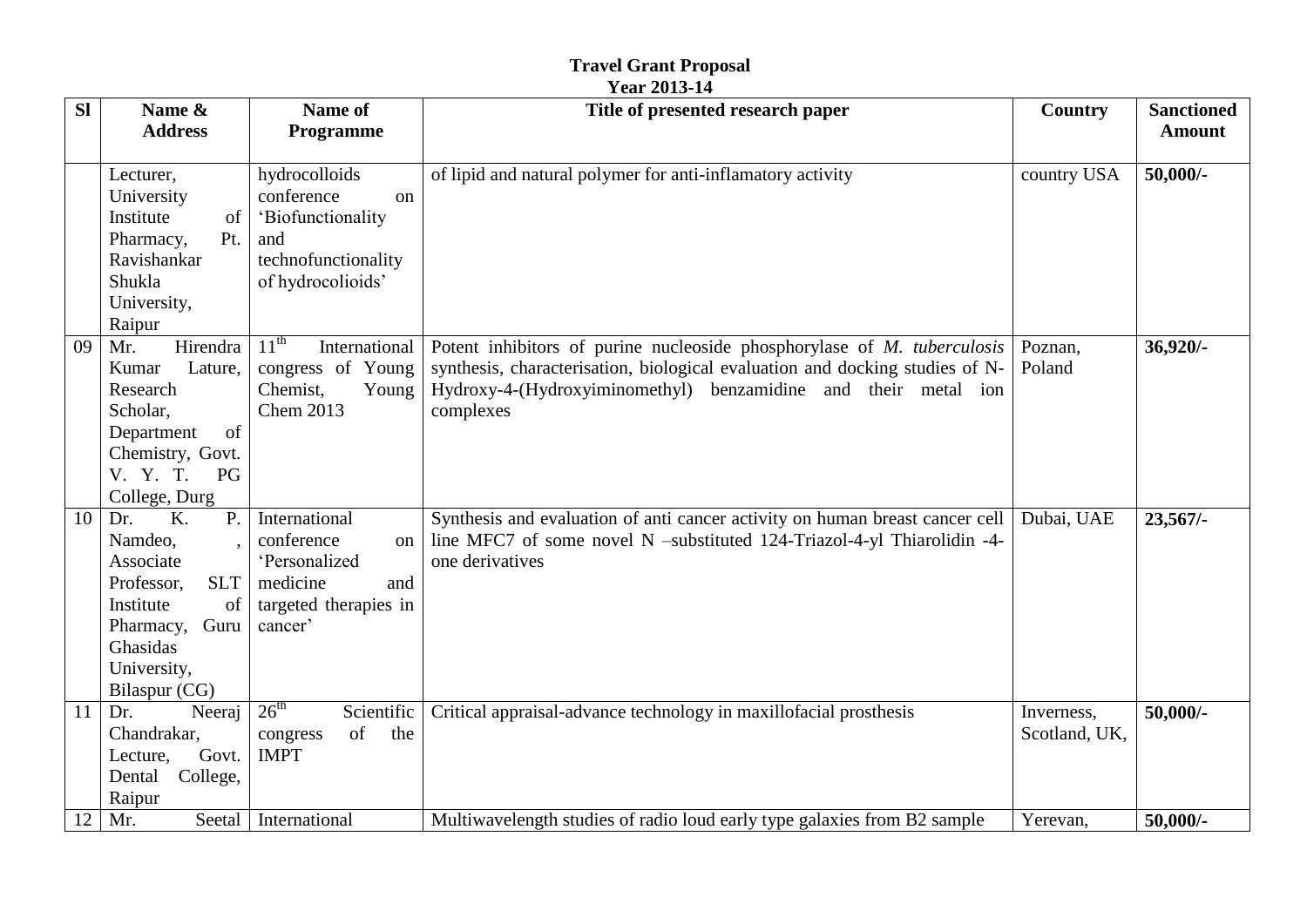|           | <b>Travel Grant Proposal</b><br><b>Year 2013-14</b>                                                                                                              |                                                                                                                      |                                                                                                                                                                                                                                        |                             |                                    |  |
|-----------|------------------------------------------------------------------------------------------------------------------------------------------------------------------|----------------------------------------------------------------------------------------------------------------------|----------------------------------------------------------------------------------------------------------------------------------------------------------------------------------------------------------------------------------------|-----------------------------|------------------------------------|--|
| <b>Sl</b> | Name &<br><b>Address</b>                                                                                                                                         | Name of<br>Programme                                                                                                 | Title of presented research paper                                                                                                                                                                                                      | Country                     | <b>Sanctioned</b><br><b>Amount</b> |  |
|           | Lecturer,<br>University<br>Institute<br>of<br>Pharmacy,<br>Pt.<br>Ravishankar<br>Shukla<br>University,<br>Raipur                                                 | hydrocolloids<br>conference<br><sub>on</sub><br>'Biofunctionality<br>and<br>technofunctionality<br>of hydrocolioids' | of lipid and natural polymer for anti-inflamatory activity                                                                                                                                                                             | country USA                 | $50,000/$ -                        |  |
| 09        | Hirendra<br>Mr.<br>Lature,<br>Kumar<br>Research<br>Scholar,<br>Department<br>of<br>Chemistry, Govt.<br>PG<br>V. Y. T.<br>College, Durg                           | $11^{\text{th}}$<br>International<br>congress of Young<br>Chemist,<br>Young<br><b>Chem 2013</b>                      | Potent inhibitors of purine nucleoside phosphorylase of M. tuberculosis<br>synthesis, characterisation, biological evaluation and docking studies of N-<br>Hydroxy-4-(Hydroxyiminomethyl) benzamidine and their metal ion<br>complexes | Poznan,<br>Poland           | 36,920/-                           |  |
| 10        | K.<br>$P_{\cdot}$<br>Dr.<br>Namdeo,<br>Associate<br>Professor,<br><b>SLT</b><br>Institute<br>of<br>Guru<br>Pharmacy,<br>Ghasidas<br>University,<br>Bilaspur (CG) | International<br>conference<br>on<br>'Personalized<br>medicine<br>and<br>targeted therapies in<br>cancer'            | Synthesis and evaluation of anti cancer activity on human breast cancer cell<br>line MFC7 of some novel N -substituted 124-Triazol-4-yl Thiarolidin -4-<br>one derivatives                                                             | Dubai, UAE                  | $23,567/$ -                        |  |
| 11        | Dr.<br>Neeraj<br>Chandrakar,<br>Govt.<br>Lecture,<br>College,<br>Dental<br>Raipur                                                                                | $26^{\text{th}}$<br>Scientific<br>of<br>the<br>congress<br><b>IMPT</b>                                               | Critical appraisal-advance technology in maxillofacial prosthesis                                                                                                                                                                      | Inverness,<br>Scotland, UK, | $50,000/$ -                        |  |
| 12        | Mr.                                                                                                                                                              | Seetal   International                                                                                               | Multiwavelength studies of radio loud early type galaxies from B2 sample                                                                                                                                                               | Yerevan,                    | $50,000/-$                         |  |